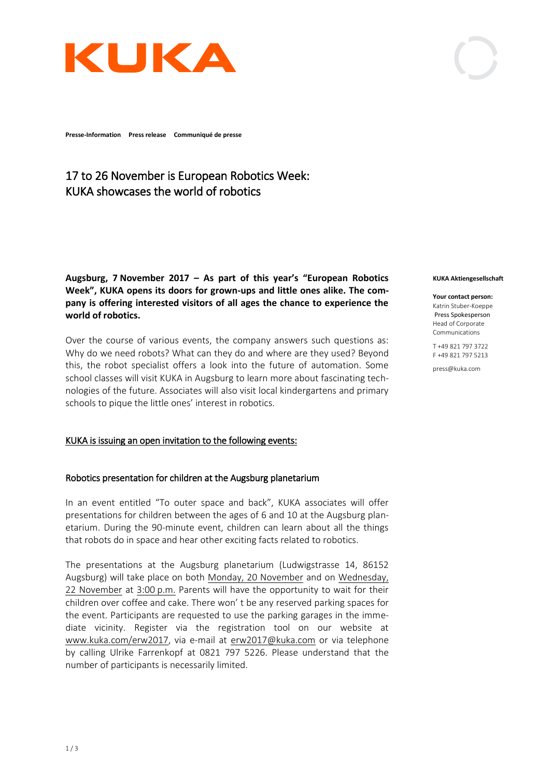

**Presse-Information Press release Communiqué de presse**

# 17 to 26 November is European Robotics Week: KUKA showcases the world of robotics

**Augsburg, 7 November 2017 – As part of this year's "European Robotics Week", KUKA opens its doors for grown-ups and little ones alike. The company is offering interested visitors of all ages the chance to experience the world of robotics.** 

Over the course of various events, the company answers such questions as: Why do we need robots? What can they do and where are they used? Beyond this, the robot specialist offers a look into the future of automation. Some school classes will visit KUKA in Augsburg to learn more about fascinating technologies of the future. Associates will also visit local kindergartens and primary schools to pique the little ones' interest in robotics.

### KUKA is issuing an open invitation to the following events:

### Robotics presentation for children at the Augsburg planetarium

In an event entitled "To outer space and back", KUKA associates will offer presentations for children between the ages of 6 and 10 at the Augsburg planetarium. During the 90-minute event, children can learn about all the things that robots do in space and hear other exciting facts related to robotics.

The presentations at the Augsburg planetarium (Ludwigstrasse 14, 86152 Augsburg) will take place on both Monday, 20 November and on Wednesday, 22 November at 3:00 p.m. Parents will have the opportunity to wait for their children over coffee and cake. There won' t be any reserved parking spaces for the event. Participants are requested to use the parking garages in the immediate vicinity. Register via the registration tool on our website at [www.kuka.com/erw2017,](http://www.kuka.com/erw2017) via e-mail at [erw2017@kuka.com](mailto:erw2017@kuka.com) or via telephone by calling Ulrike Farrenkopf at 0821 797 5226. Please understand that the number of participants is necessarily limited.

#### **KUKA Aktiengesellschaft**

**Your contact person:** Katrin Stuber-Koeppe Press Spokesperson Head of Corporate Communications

T +49 821 797 3722 F +49 821 797 5213

press@kuka.com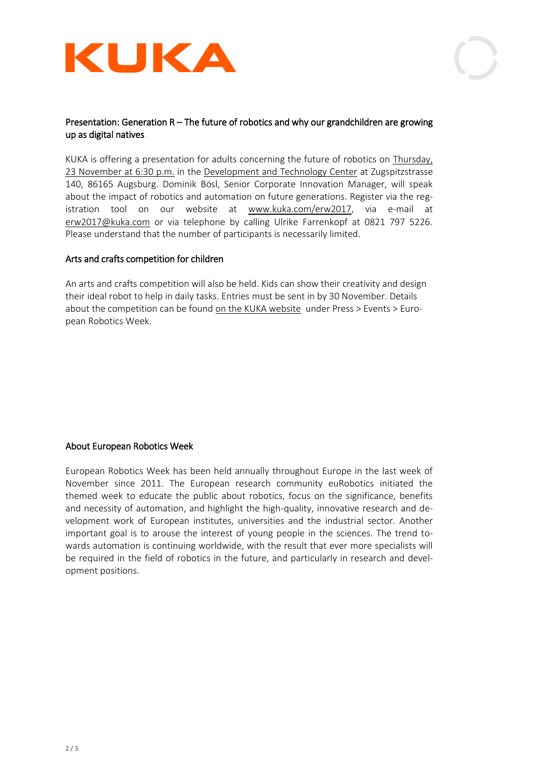



## Presentation: Generation R – The future of robotics and why our grandchildren are growing up as digital natives

KUKA is offering a presentation for adults concerning the future of robotics on Thursday, 23 November at 6:30 p.m. in the Development and Technology Center at Zugspitzstrasse 140, 86165 Augsburg. Dominik Bösl, Senior Corporate Innovation Manager, will speak about the impact of robotics and automation on future generations. Register via the registration tool on our website at [www.kuka.com/erw2017,](http://www.kuka.com/erw2017) via e-mail at [erw2017@kuka.com](mailto:erw2017@kuka.com) or via telephone by calling Ulrike Farrenkopf at 0821 797 5226. Please understand that the number of participants is necessarily limited.

### Arts and crafts competition for children

An arts and crafts competition will also be held. Kids can show their creativity and design their ideal robot to help in daily tasks. Entries must be sent in by 30 November. Details about the competition can be found on the KUKA website under Press > Events > European Robotics Week.

### About European Robotics Week

European Robotics Week has been held annually throughout Europe in the last week of November since 2011. The European research community euRobotics initiated the themed week to educate the public about robotics, focus on the significance, benefits and necessity of automation, and highlight the high-quality, innovative research and development work of European institutes, universities and the industrial sector. Another important goal is to arouse the interest of young people in the sciences. The trend towards automation is continuing worldwide, with the result that ever more specialists will be required in the field of robotics in the future, and particularly in research and development positions.